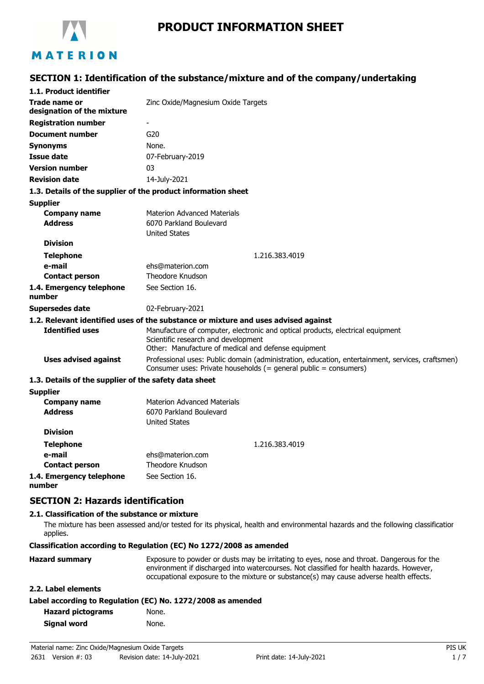

# **PRODUCT INFORMATION SHEET**

# **SECTION 1: Identification of the substance/mixture and of the company/undertaking**

| 1.1. Product identifier                               |                                                                                                                                                                              |
|-------------------------------------------------------|------------------------------------------------------------------------------------------------------------------------------------------------------------------------------|
| Trade name or<br>designation of the mixture           | Zinc Oxide/Magnesium Oxide Targets                                                                                                                                           |
| <b>Registration number</b>                            | $\overline{\phantom{0}}$                                                                                                                                                     |
| <b>Document number</b>                                | G20                                                                                                                                                                          |
| <b>Synonyms</b>                                       | None.                                                                                                                                                                        |
| Issue date                                            | 07-February-2019                                                                                                                                                             |
| <b>Version number</b>                                 | 03                                                                                                                                                                           |
| <b>Revision date</b>                                  | 14-July-2021                                                                                                                                                                 |
|                                                       | 1.3. Details of the supplier of the product information sheet                                                                                                                |
| <b>Supplier</b>                                       |                                                                                                                                                                              |
| <b>Company name</b>                                   | <b>Materion Advanced Materials</b>                                                                                                                                           |
| <b>Address</b>                                        | 6070 Parkland Boulevard                                                                                                                                                      |
|                                                       | <b>United States</b>                                                                                                                                                         |
| <b>Division</b>                                       |                                                                                                                                                                              |
| <b>Telephone</b>                                      | 1.216.383.4019                                                                                                                                                               |
| e-mail                                                | ehs@materion.com                                                                                                                                                             |
| <b>Contact person</b>                                 | Theodore Knudson                                                                                                                                                             |
| 1.4. Emergency telephone<br>number                    | See Section 16.                                                                                                                                                              |
| <b>Supersedes date</b>                                | 02-February-2021                                                                                                                                                             |
|                                                       | 1.2. Relevant identified uses of the substance or mixture and uses advised against                                                                                           |
| <b>Identified uses</b>                                | Manufacture of computer, electronic and optical products, electrical equipment<br>Scientific research and development<br>Other: Manufacture of medical and defense equipment |
| <b>Uses advised against</b>                           | Professional uses: Public domain (administration, education, entertainment, services, craftsmen)<br>Consumer uses: Private households (= general public = consumers)         |
| 1.3. Details of the supplier of the safety data sheet |                                                                                                                                                                              |
| <b>Supplier</b>                                       |                                                                                                                                                                              |
| <b>Company name</b>                                   | Materion Advanced Materials                                                                                                                                                  |
| <b>Address</b>                                        | 6070 Parkland Boulevard<br><b>United States</b>                                                                                                                              |
| <b>Division</b>                                       |                                                                                                                                                                              |
| <b>Telephone</b>                                      | 1.216.383.4019                                                                                                                                                               |
| e-mail                                                | ehs@materion.com                                                                                                                                                             |
| <b>Contact person</b>                                 | Theodore Knudson                                                                                                                                                             |
| 1.4. Emergency telephone                              | See Section 16.                                                                                                                                                              |

**number**

**SECTION 2: Hazards identification**

#### **2.1. Classification of the substance or mixture**

The mixture has been assessed and/or tested for its physical, health and environmental hazards and the following classification applies.

**Classification according to Regulation (EC) No 1272/2008 as amended**

| <b>Hazard summary</b> | Exposure to powder or dusts may be irritating to eyes, nose and throat. Dangerous for the<br>environment if discharged into watercourses. Not classified for health hazards. However,<br>occupational exposure to the mixture or substance(s) may cause adverse health effects. |
|-----------------------|---------------------------------------------------------------------------------------------------------------------------------------------------------------------------------------------------------------------------------------------------------------------------------|
| 2.2. Label elements   |                                                                                                                                                                                                                                                                                 |

| Label according to Regulation (EC) No. 1272/2008 as amended |  |  |  |
|-------------------------------------------------------------|--|--|--|
|-------------------------------------------------------------|--|--|--|

| <b>Hazard pictograms</b> | None. |
|--------------------------|-------|
| Signal word              | None. |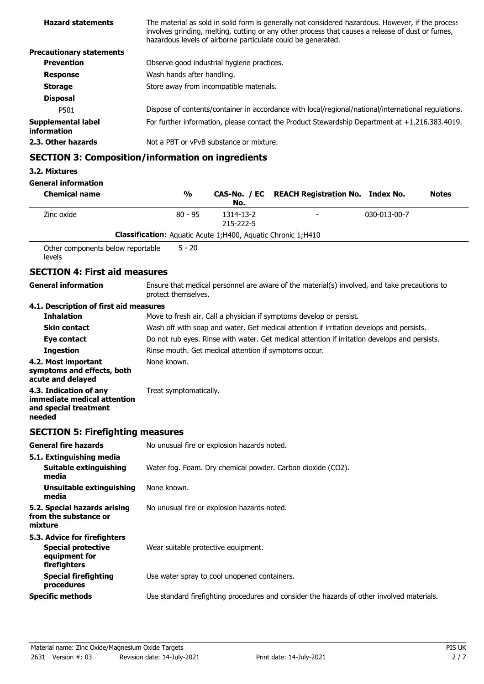| <b>Hazard statements</b>                 | The material as sold in solid form is generally not considered hazardous. However, if the process<br>involves grinding, melting, cutting or any other process that causes a release of dust or fumes,<br>hazardous levels of airborne particulate could be generated. |
|------------------------------------------|-----------------------------------------------------------------------------------------------------------------------------------------------------------------------------------------------------------------------------------------------------------------------|
| <b>Precautionary statements</b>          |                                                                                                                                                                                                                                                                       |
| <b>Prevention</b>                        | Observe good industrial hygiene practices.                                                                                                                                                                                                                            |
| <b>Response</b>                          | Wash hands after handling.                                                                                                                                                                                                                                            |
| <b>Storage</b>                           | Store away from incompatible materials.                                                                                                                                                                                                                               |
| <b>Disposal</b>                          |                                                                                                                                                                                                                                                                       |
| P501                                     | Dispose of contents/container in accordance with local/regional/national/international regulations.                                                                                                                                                                   |
| <b>Supplemental label</b><br>information | For further information, please contact the Product Stewardship Department at $+1.216.383.4019$ .                                                                                                                                                                     |
| 2.3. Other hazards                       | Not a PBT or vPvB substance or mixture.                                                                                                                                                                                                                               |
|                                          | <b>SECTION 3: Composition/information on ingredients</b>                                                                                                                                                                                                              |
| 33. Millionae                            |                                                                                                                                                                                                                                                                       |

# **3.2. Mixtures**

**General information**

| <b>Chemical name</b>                                                                     | $\frac{0}{0}$                                                         | No.                                                                                           | CAS-No. / EC REACH Registration No. Index No.                                                |              | <b>Notes</b> |
|------------------------------------------------------------------------------------------|-----------------------------------------------------------------------|-----------------------------------------------------------------------------------------------|----------------------------------------------------------------------------------------------|--------------|--------------|
| Zinc oxide                                                                               | $80 - 95$                                                             | 1314-13-2<br>215-222-5                                                                        |                                                                                              | 030-013-00-7 |              |
|                                                                                          | <b>Classification:</b> Aquatic Acute 1; H400, Aquatic Chronic 1; H410 |                                                                                               |                                                                                              |              |              |
| Other components below reportable<br>levels                                              | $5 - 20$                                                              |                                                                                               |                                                                                              |              |              |
| <b>SECTION 4: First aid measures</b>                                                     |                                                                       |                                                                                               |                                                                                              |              |              |
| <b>General information</b>                                                               | protect themselves.                                                   |                                                                                               | Ensure that medical personnel are aware of the material(s) involved, and take precautions to |              |              |
| 4.1. Description of first aid measures                                                   |                                                                       |                                                                                               |                                                                                              |              |              |
| <b>Inhalation</b>                                                                        |                                                                       |                                                                                               | Move to fresh air. Call a physician if symptoms develop or persist.                          |              |              |
| <b>Skin contact</b>                                                                      |                                                                       |                                                                                               | Wash off with soap and water. Get medical attention if irritation develops and persists.     |              |              |
| Eye contact                                                                              |                                                                       | Do not rub eyes. Rinse with water. Get medical attention if irritation develops and persists. |                                                                                              |              |              |
| <b>Ingestion</b>                                                                         | Rinse mouth. Get medical attention if symptoms occur.                 |                                                                                               |                                                                                              |              |              |
| 4.2. Most important<br>symptoms and effects, both<br>acute and delayed                   | None known.                                                           |                                                                                               |                                                                                              |              |              |
| 4.3. Indication of any<br>immediate medical attention<br>and special treatment<br>needed | Treat symptomatically.                                                |                                                                                               |                                                                                              |              |              |
| <b>SECTION 5: Firefighting measures</b>                                                  |                                                                       |                                                                                               |                                                                                              |              |              |
| <b>General fire hazards</b>                                                              | No unusual fire or explosion hazards noted.                           |                                                                                               |                                                                                              |              |              |
| 5.1. Extinguishing media<br>Suitable extinguishing<br>media                              |                                                                       |                                                                                               | Water fog. Foam. Dry chemical powder. Carbon dioxide (CO2).                                  |              |              |
| <b>Unsuitable extinguishing</b><br>media                                                 | None known.                                                           |                                                                                               |                                                                                              |              |              |
| 5.2. Special hazards arising<br>from the substance or<br>mixture                         | No unusual fire or explosion hazards noted.                           |                                                                                               |                                                                                              |              |              |
| 5.3. Advice for firefighters                                                             |                                                                       |                                                                                               |                                                                                              |              |              |

| <b>Special protective</b><br>equipment for<br>firefighters | Wear suitable protective equipment.                                                        |
|------------------------------------------------------------|--------------------------------------------------------------------------------------------|
| <b>Special firefighting</b><br>procedures                  | Use water spray to cool unopened containers.                                               |
| <b>Specific methods</b>                                    | Use standard firefighting procedures and consider the hazards of other involved materials. |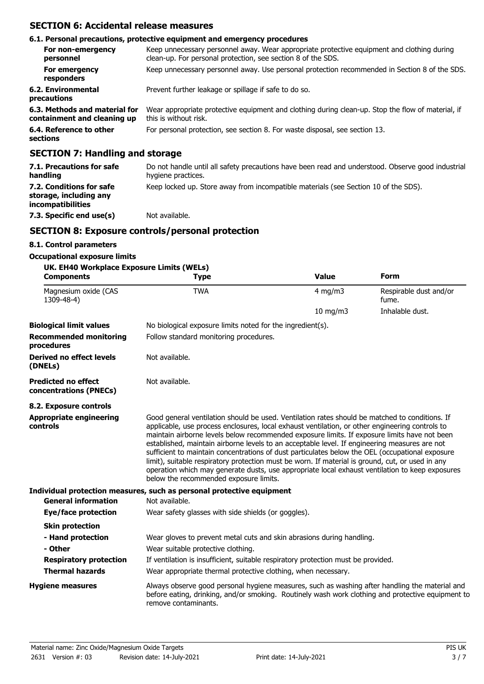# **SECTION 6: Accidental release measures**

|                                                              | 6.1. Personal precautions, protective equipment and emergency procedures                                                                                   |
|--------------------------------------------------------------|------------------------------------------------------------------------------------------------------------------------------------------------------------|
| For non-emergency<br>personnel                               | Keep unnecessary personnel away. Wear appropriate protective equipment and clothing during<br>clean-up. For personal protection, see section 8 of the SDS. |
| For emergency<br>responders                                  | Keep unnecessary personnel away. Use personal protection recommended in Section 8 of the SDS.                                                              |
| 6.2. Environmental<br>precautions                            | Prevent further leakage or spillage if safe to do so.                                                                                                      |
| 6.3. Methods and material for<br>containment and cleaning up | Wear appropriate protective equipment and clothing during clean-up. Stop the flow of material, if<br>this is without risk.                                 |
| 6.4. Reference to other<br>sections                          | For personal protection, see section 8. For waste disposal, see section 13.                                                                                |
| <b>SECTION 7: Handling and storage</b>                       |                                                                                                                                                            |

| 7.1. Precautions for safe<br>handling                                          | Do not handle until all safety precautions have been read and understood. Observe good industrial<br>hygiene practices. |
|--------------------------------------------------------------------------------|-------------------------------------------------------------------------------------------------------------------------|
| 7.2. Conditions for safe<br>storage, including any<br><i>incompatibilities</i> | Keep locked up. Store away from incompatible materials (see Section 10 of the SDS).                                     |
| 7.3. Specific end use(s)                                                       | Not available.                                                                                                          |

# **SECTION 8: Exposure controls/personal protection**

#### **8.1. Control parameters**

#### **Occupational exposure limits**

| UK. EH40 Workplace Exposure Limits (WELs)<br><b>Components</b> | <b>Type</b>                                                                                                                                                                                                                                                                                                                                                                                                                                                                                                                                                                                                                                                                                                                                            | <b>Value</b>      | Form                            |
|----------------------------------------------------------------|--------------------------------------------------------------------------------------------------------------------------------------------------------------------------------------------------------------------------------------------------------------------------------------------------------------------------------------------------------------------------------------------------------------------------------------------------------------------------------------------------------------------------------------------------------------------------------------------------------------------------------------------------------------------------------------------------------------------------------------------------------|-------------------|---------------------------------|
| Magnesium oxide (CAS<br>1309-48-4)                             | <b>TWA</b>                                                                                                                                                                                                                                                                                                                                                                                                                                                                                                                                                                                                                                                                                                                                             | $4$ mg/m $3$      | Respirable dust and/or<br>fume. |
|                                                                |                                                                                                                                                                                                                                                                                                                                                                                                                                                                                                                                                                                                                                                                                                                                                        | $10 \text{ mg/m}$ | Inhalable dust.                 |
| <b>Biological limit values</b>                                 | No biological exposure limits noted for the ingredient(s).                                                                                                                                                                                                                                                                                                                                                                                                                                                                                                                                                                                                                                                                                             |                   |                                 |
| <b>Recommended monitoring</b><br>procedures                    | Follow standard monitoring procedures.                                                                                                                                                                                                                                                                                                                                                                                                                                                                                                                                                                                                                                                                                                                 |                   |                                 |
| <b>Derived no effect levels</b><br>(DNELs)                     | Not available.                                                                                                                                                                                                                                                                                                                                                                                                                                                                                                                                                                                                                                                                                                                                         |                   |                                 |
| <b>Predicted no effect</b><br>concentrations (PNECs)           | Not available.                                                                                                                                                                                                                                                                                                                                                                                                                                                                                                                                                                                                                                                                                                                                         |                   |                                 |
| 8.2. Exposure controls                                         |                                                                                                                                                                                                                                                                                                                                                                                                                                                                                                                                                                                                                                                                                                                                                        |                   |                                 |
| <b>Appropriate engineering</b><br>controls                     | Good general ventilation should be used. Ventilation rates should be matched to conditions. If<br>applicable, use process enclosures, local exhaust ventilation, or other engineering controls to<br>maintain airborne levels below recommended exposure limits. If exposure limits have not been<br>established, maintain airborne levels to an acceptable level. If engineering measures are not<br>sufficient to maintain concentrations of dust particulates below the OEL (occupational exposure<br>limit), suitable respiratory protection must be worn. If material is ground, cut, or used in any<br>operation which may generate dusts, use appropriate local exhaust ventilation to keep exposures<br>below the recommended exposure limits. |                   |                                 |
|                                                                | Individual protection measures, such as personal protective equipment                                                                                                                                                                                                                                                                                                                                                                                                                                                                                                                                                                                                                                                                                  |                   |                                 |
| <b>General information</b>                                     | Not available.                                                                                                                                                                                                                                                                                                                                                                                                                                                                                                                                                                                                                                                                                                                                         |                   |                                 |
| Eye/face protection                                            | Wear safety glasses with side shields (or goggles).                                                                                                                                                                                                                                                                                                                                                                                                                                                                                                                                                                                                                                                                                                    |                   |                                 |
| <b>Skin protection</b>                                         |                                                                                                                                                                                                                                                                                                                                                                                                                                                                                                                                                                                                                                                                                                                                                        |                   |                                 |
| - Hand protection                                              | Wear gloves to prevent metal cuts and skin abrasions during handling.                                                                                                                                                                                                                                                                                                                                                                                                                                                                                                                                                                                                                                                                                  |                   |                                 |
| - Other                                                        | Wear suitable protective clothing.                                                                                                                                                                                                                                                                                                                                                                                                                                                                                                                                                                                                                                                                                                                     |                   |                                 |
| <b>Respiratory protection</b>                                  | If ventilation is insufficient, suitable respiratory protection must be provided.                                                                                                                                                                                                                                                                                                                                                                                                                                                                                                                                                                                                                                                                      |                   |                                 |
| <b>Thermal hazards</b>                                         | Wear appropriate thermal protective clothing, when necessary.                                                                                                                                                                                                                                                                                                                                                                                                                                                                                                                                                                                                                                                                                          |                   |                                 |
| <b>Hygiene measures</b>                                        | Always observe good personal hygiene measures, such as washing after handling the material and<br>before eating, drinking, and/or smoking. Routinely wash work clothing and protective equipment to<br>remove contaminants.                                                                                                                                                                                                                                                                                                                                                                                                                                                                                                                            |                   |                                 |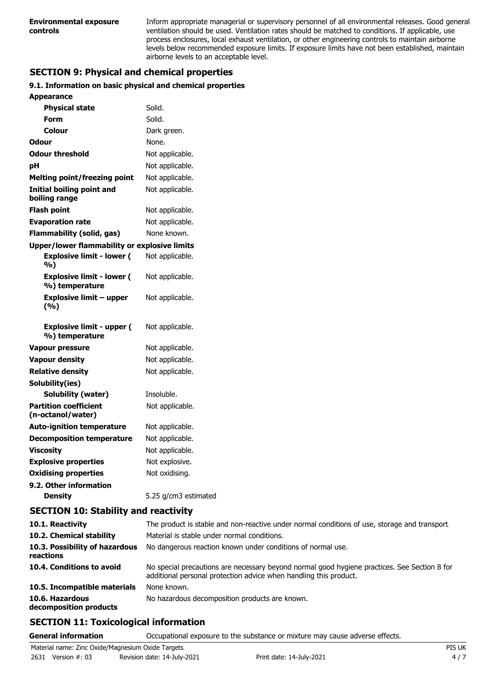Inform appropriate managerial or supervisory personnel of all environmental releases. Good general ventilation should be used. Ventilation rates should be matched to conditions. If applicable, use process enclosures, local exhaust ventilation, or other engineering controls to maintain airborne levels below recommended exposure limits. If exposure limits have not been established, maintain airborne levels to an acceptable level.

# **SECTION 9: Physical and chemical properties**

#### **9.1. Information on basic physical and chemical properties**

| Appearance                                          |                      |
|-----------------------------------------------------|----------------------|
| <b>Physical state</b>                               | Solid.               |
| Form                                                | Solid.               |
| Colour                                              | Dark green.          |
| Odour                                               | None.                |
| <b>Odour threshold</b>                              | Not applicable.      |
| рH                                                  | Not applicable.      |
| <b>Melting point/freezing point</b>                 | Not applicable.      |
| <b>Initial boiling point and</b><br>boiling range   | Not applicable.      |
| <b>Flash point</b>                                  | Not applicable.      |
| <b>Evaporation rate</b>                             | Not applicable.      |
| <b>Flammability (solid, gas)</b>                    | None known.          |
| <b>Upper/lower flammability or explosive limits</b> |                      |
| <b>Explosive limit - lower (</b><br>%)              | Not applicable.      |
| <b>Explosive limit - lower (</b><br>%) temperature  | Not applicable.      |
| <b>Explosive limit - upper</b><br>(%)               | Not applicable.      |
| <b>Explosive limit - upper (</b><br>%) temperature  | Not applicable.      |
| <b>Vapour pressure</b>                              | Not applicable.      |
| <b>Vapour density</b>                               | Not applicable.      |
| <b>Relative density</b>                             | Not applicable.      |
| Solubility(ies)                                     |                      |
| Solubility (water)                                  | Insoluble.           |
| <b>Partition coefficient</b><br>(n-octanol/water)   | Not applicable.      |
| <b>Auto-ignition temperature</b>                    | Not applicable.      |
| <b>Decomposition temperature</b>                    | Not applicable.      |
| <b>Viscosity</b>                                    | Not applicable.      |
| <b>Explosive properties</b>                         | Not explosive.       |
| <b>Oxidising properties</b>                         | Not oxidising.       |
| 9.2. Other information                              |                      |
| <b>Density</b>                                      | 5.25 g/cm3 estimated |

### **SECTION 10: Stability and reactivity**

| 10.1. Reactivity<br>10.2. Chemical stability<br>10.3. Possibility of hazardous<br>reactions | The product is stable and non-reactive under normal conditions of use, storage and transport.<br>Material is stable under normal conditions.<br>No dangerous reaction known under conditions of normal use. |
|---------------------------------------------------------------------------------------------|-------------------------------------------------------------------------------------------------------------------------------------------------------------------------------------------------------------|
| 10.4. Conditions to avoid                                                                   | No special precautions are necessary beyond normal good hygiene practices. See Section 8 for<br>additional personal protection advice when handling this product.                                           |
| 10.5. Incompatible materials                                                                | None known.                                                                                                                                                                                                 |
| 10.6. Hazardous<br>decomposition products                                                   | No hazardous decomposition products are known.                                                                                                                                                              |

### **SECTION 11: Toxicological information**

**General information C**CCUPATION OCCUPATION EXPOSURE to the substance or mixture may cause adverse effects.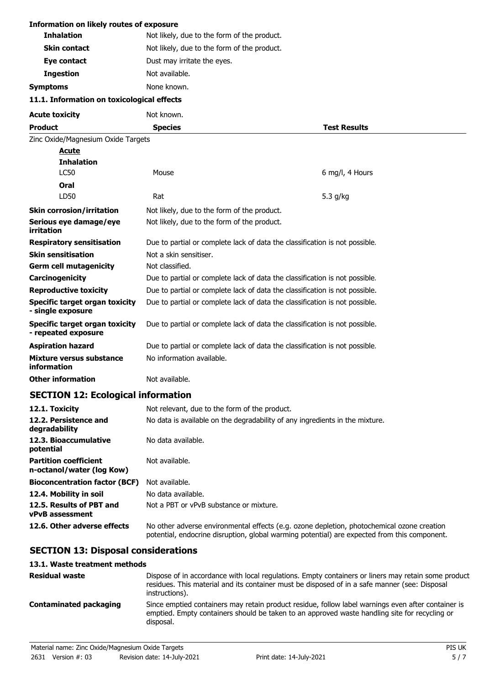| <b>Information on likely routes of exposure</b>              |                                                                                                                                                                                            |                     |
|--------------------------------------------------------------|--------------------------------------------------------------------------------------------------------------------------------------------------------------------------------------------|---------------------|
| <b>Inhalation</b>                                            | Not likely, due to the form of the product.                                                                                                                                                |                     |
| <b>Skin contact</b>                                          | Not likely, due to the form of the product.                                                                                                                                                |                     |
| Eye contact                                                  | Dust may irritate the eyes.                                                                                                                                                                |                     |
| <b>Ingestion</b>                                             | Not available.                                                                                                                                                                             |                     |
| <b>Symptoms</b>                                              | None known.                                                                                                                                                                                |                     |
| 11.1. Information on toxicological effects                   |                                                                                                                                                                                            |                     |
| <b>Acute toxicity</b>                                        | Not known.                                                                                                                                                                                 |                     |
| <b>Product</b>                                               | <b>Species</b>                                                                                                                                                                             | <b>Test Results</b> |
| Zinc Oxide/Magnesium Oxide Targets                           |                                                                                                                                                                                            |                     |
| <u>Acute</u>                                                 |                                                                                                                                                                                            |                     |
| <b>Inhalation</b>                                            |                                                                                                                                                                                            |                     |
| <b>LC50</b>                                                  | Mouse                                                                                                                                                                                      | 6 mg/l, 4 Hours     |
| Oral                                                         |                                                                                                                                                                                            |                     |
| LD50                                                         | Rat                                                                                                                                                                                        | 5.3 g/kg            |
| <b>Skin corrosion/irritation</b>                             | Not likely, due to the form of the product.                                                                                                                                                |                     |
| Serious eye damage/eye<br>irritation                         | Not likely, due to the form of the product.                                                                                                                                                |                     |
| <b>Respiratory sensitisation</b>                             | Due to partial or complete lack of data the classification is not possible.                                                                                                                |                     |
| <b>Skin sensitisation</b>                                    | Not a skin sensitiser.                                                                                                                                                                     |                     |
| <b>Germ cell mutagenicity</b>                                | Not classified.                                                                                                                                                                            |                     |
| Carcinogenicity                                              | Due to partial or complete lack of data the classification is not possible.                                                                                                                |                     |
| <b>Reproductive toxicity</b>                                 | Due to partial or complete lack of data the classification is not possible.                                                                                                                |                     |
| <b>Specific target organ toxicity</b><br>- single exposure   | Due to partial or complete lack of data the classification is not possible.                                                                                                                |                     |
| <b>Specific target organ toxicity</b><br>- repeated exposure | Due to partial or complete lack of data the classification is not possible.                                                                                                                |                     |
| <b>Aspiration hazard</b>                                     | Due to partial or complete lack of data the classification is not possible.                                                                                                                |                     |
| <b>Mixture versus substance</b><br>information               | No information available.                                                                                                                                                                  |                     |
| Other information                                            | Not available.                                                                                                                                                                             |                     |
| <b>SECTION 12: Ecological information</b>                    |                                                                                                                                                                                            |                     |
| 12.1. Toxicity                                               | Not relevant, due to the form of the product.                                                                                                                                              |                     |
| 12.2. Persistence and<br>degradability                       | No data is available on the degradability of any ingredients in the mixture.                                                                                                               |                     |
| 12.3. Bioaccumulative<br>potential                           | No data available.                                                                                                                                                                         |                     |
| <b>Partition coefficient</b><br>n-octanol/water (log Kow)    | Not available.                                                                                                                                                                             |                     |
| <b>Bioconcentration factor (BCF)</b>                         | Not available.                                                                                                                                                                             |                     |
| 12.4. Mobility in soil                                       | No data available.                                                                                                                                                                         |                     |
| 12.5. Results of PBT and<br><b>vPvB</b> assessment           | Not a PBT or vPvB substance or mixture.                                                                                                                                                    |                     |
| 12.6. Other adverse effects                                  | No other adverse environmental effects (e.g. ozone depletion, photochemical ozone creation<br>potential, endocrine disruption, global warming potential) are expected from this component. |                     |
| <b>SECTION 13: Disposal considerations</b>                   |                                                                                                                                                                                            |                     |
| 13.1. Waste treatment methods                                |                                                                                                                                                                                            |                     |
| <b>Docidual waste</b>                                        | Disposo of in accordance with local requirings. Empty containers or liners may retain some product                                                                                         |                     |

| <b>Residual waste</b>  | Dispose of in accordance with local regulations. Empty containers or liners may retain some product<br>residues. This material and its container must be disposed of in a safe manner (see: Disposal<br>instructions). |
|------------------------|------------------------------------------------------------------------------------------------------------------------------------------------------------------------------------------------------------------------|
| Contaminated packaging | Since emptied containers may retain product residue, follow label warnings even after container is<br>emptied. Empty containers should be taken to an approved waste handling site for recycling or<br>disposal.       |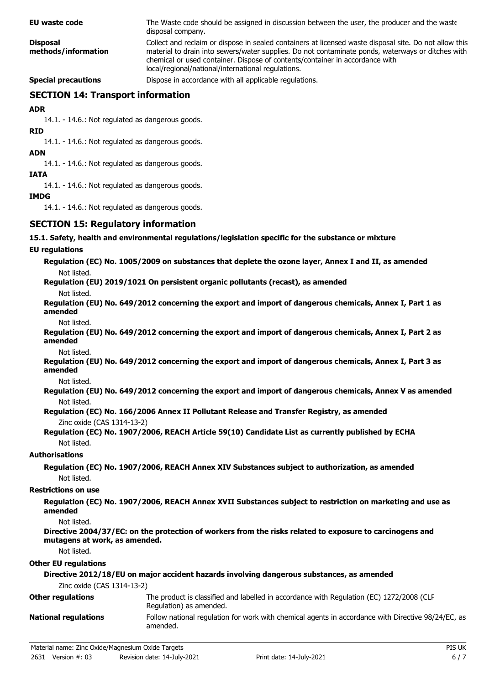| <b>EU waste code</b>                   | The Waste code should be assigned in discussion between the user, the producer and the waste<br>disposal company.                                                                                                                                                                                                                                 |
|----------------------------------------|---------------------------------------------------------------------------------------------------------------------------------------------------------------------------------------------------------------------------------------------------------------------------------------------------------------------------------------------------|
| <b>Disposal</b><br>methods/information | Collect and reclaim or dispose in sealed containers at licensed waste disposal site. Do not allow this<br>material to drain into sewers/water supplies. Do not contaminate ponds, waterways or ditches with<br>chemical or used container. Dispose of contents/container in accordance with<br>local/regional/national/international regulations. |
| <b>Special precautions</b>             | Dispose in accordance with all applicable regulations.                                                                                                                                                                                                                                                                                            |

# **SECTION 14: Transport information**

#### **ADR**

14.1. - 14.6.: Not regulated as dangerous goods.

#### **RID**

14.1. - 14.6.: Not regulated as dangerous goods.

#### **ADN**

14.1. - 14.6.: Not regulated as dangerous goods.

#### **IATA**

14.1. - 14.6.: Not regulated as dangerous goods.

#### **IMDG**

14.1. - 14.6.: Not regulated as dangerous goods.

#### **SECTION 15: Regulatory information**

#### **15.1. Safety, health and environmental regulations/legislation specific for the substance or mixture**

#### **EU regulations**

**Regulation (EC) No. 1005/2009 on substances that deplete the ozone layer, Annex I and II, as amended** Not listed.

**Regulation (EU) 2019/1021 On persistent organic pollutants (recast), as amended**

Not listed.

**Regulation (EU) No. 649/2012 concerning the export and import of dangerous chemicals, Annex I, Part 1 as amended**

Not listed.

**Regulation (EU) No. 649/2012 concerning the export and import of dangerous chemicals, Annex I, Part 2 as amended**

Not listed.

**Regulation (EU) No. 649/2012 concerning the export and import of dangerous chemicals, Annex I, Part 3 as amended**

Not listed.

**Regulation (EU) No. 649/2012 concerning the export and import of dangerous chemicals, Annex V as amended** Not listed.

#### **Regulation (EC) No. 166/2006 Annex II Pollutant Release and Transfer Registry, as amended** Zinc oxide (CAS 1314-13-2)

**Regulation (EC) No. 1907/2006, REACH Article 59(10) Candidate List as currently published by ECHA** Not listed.

#### **Authorisations**

**Regulation (EC) No. 1907/2006, REACH Annex XIV Substances subject to authorization, as amended** Not listed.

#### **Restrictions on use**

**Regulation (EC) No. 1907/2006, REACH Annex XVII Substances subject to restriction on marketing and use as amended**

Not listed.

**Directive 2004/37/EC: on the protection of workers from the risks related to exposure to carcinogens and mutagens at work, as amended.**

Not listed.

#### **Other EU regulations**

| Directive 2012/18/EU on major accident hazards involving dangerous substances, as amended |                                                                                                                     |  |
|-------------------------------------------------------------------------------------------|---------------------------------------------------------------------------------------------------------------------|--|
| Zinc oxide (CAS 1314-13-2)                                                                |                                                                                                                     |  |
| <b>Other regulations</b>                                                                  | The product is classified and labelled in accordance with Regulation (EC) 1272/2008 (CLP<br>Regulation) as amended. |  |
| <b>National regulations</b>                                                               | Follow national regulation for work with chemical agents in accordance with Directive 98/24/EC, as<br>amended.      |  |